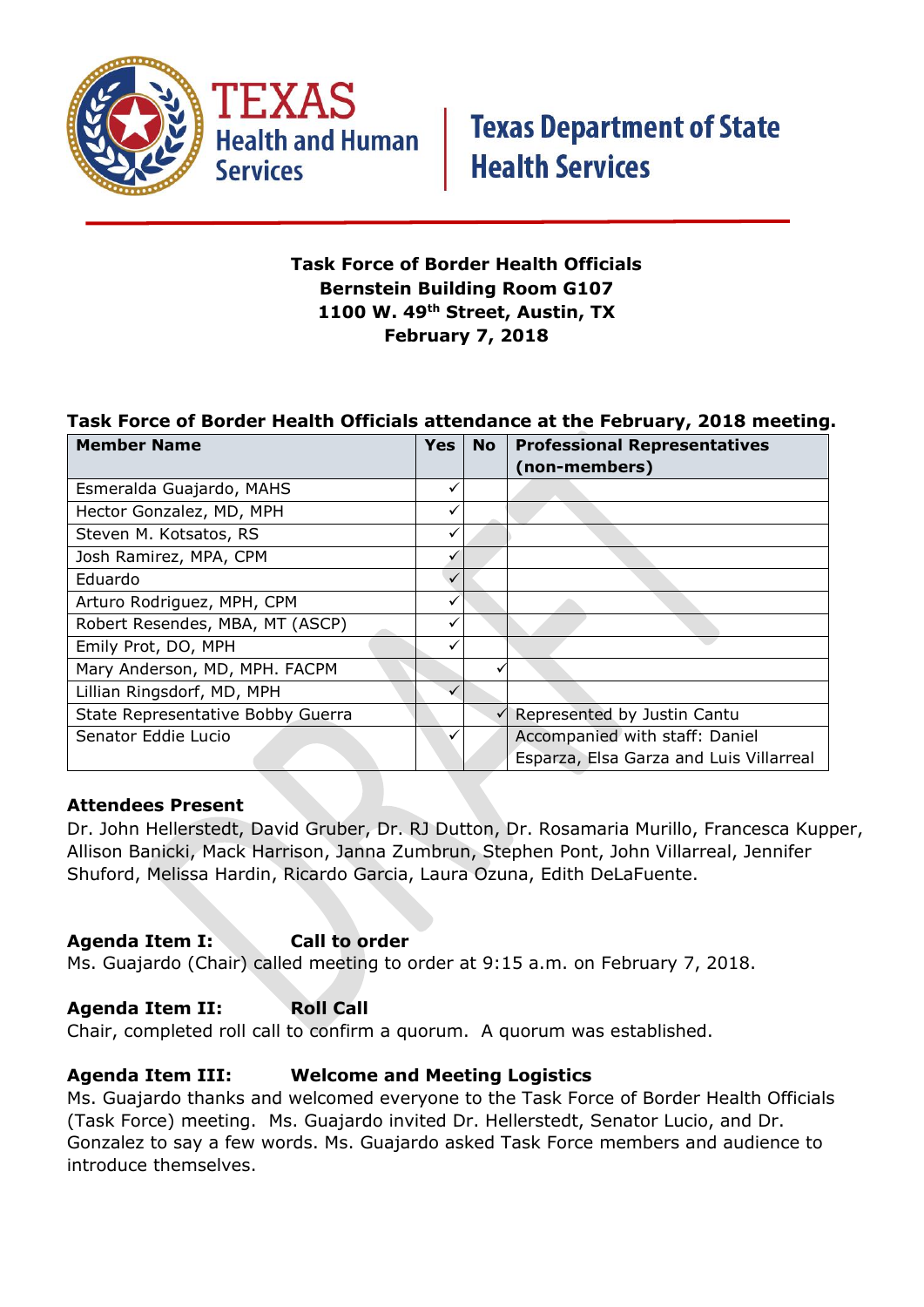

**Health and Human Services** 

## **Task Force of Border Health Officials Bernstein Building Room G107 1100 W. 49th Street, Austin, TX February 7, 2018**

## **Task Force of Border Health Officials attendance at the February, 2018 meeting.**

| <b>Member Name</b>                | Yes | <b>No</b> | <b>Professional Representatives</b>     |
|-----------------------------------|-----|-----------|-----------------------------------------|
|                                   |     |           | (non-members)                           |
| Esmeralda Guajardo, MAHS          | ✓   |           |                                         |
| Hector Gonzalez, MD, MPH          |     |           |                                         |
| Steven M. Kotsatos, RS            | ✓   |           |                                         |
| Josh Ramirez, MPA, CPM            |     |           |                                         |
| Eduardo                           |     |           |                                         |
| Arturo Rodriguez, MPH, CPM        |     |           |                                         |
| Robert Resendes, MBA, MT (ASCP)   |     |           |                                         |
| Emily Prot, DO, MPH               |     |           |                                         |
| Mary Anderson, MD, MPH. FACPM     |     |           |                                         |
| Lillian Ringsdorf, MD, MPH        |     |           |                                         |
| State Representative Bobby Guerra |     |           | Represented by Justin Cantu             |
| Senator Eddie Lucio               |     |           | Accompanied with staff: Daniel          |
|                                   |     |           | Esparza, Elsa Garza and Luis Villarreal |

#### **Attendees Present**

Dr. John Hellerstedt, David Gruber, Dr. RJ Dutton, Dr. Rosamaria Murillo, Francesca Kupper, Allison Banicki, Mack Harrison, Janna Zumbrun, Stephen Pont, John Villarreal, Jennifer Shuford, Melissa Hardin, Ricardo Garcia, Laura Ozuna, Edith DeLaFuente.

#### **Agenda Item I: Call to order**

Ms. Guajardo (Chair) called meeting to order at 9:15 a.m. on February 7, 2018.

## Agenda Item II: Roll Call

Chair, completed roll call to confirm a quorum. A quorum was established.

## **Agenda Item III: Welcome and Meeting Logistics**

Ms. Guajardo thanks and welcomed everyone to the Task Force of Border Health Officials (Task Force) meeting. Ms. Guajardo invited Dr. Hellerstedt, Senator Lucio, and Dr. Gonzalez to say a few words. Ms. Guajardo asked Task Force members and audience to introduce themselves.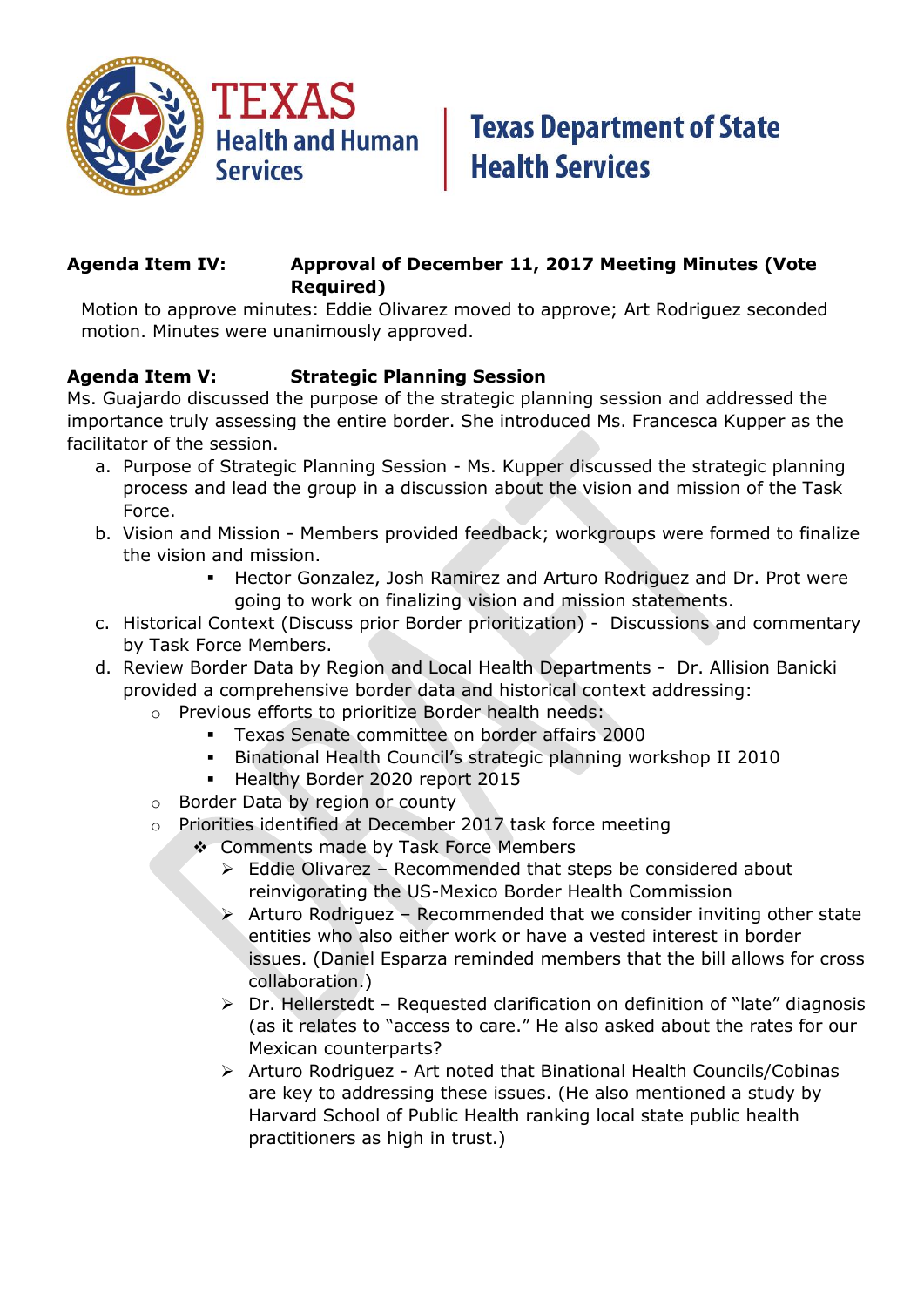

# **Texas Department of State Health Services**

## **Agenda Item IV: Approval of December 11, 2017 Meeting Minutes (Vote Required)**

Motion to approve minutes: Eddie Olivarez moved to approve; Art Rodriguez seconded motion. Minutes were unanimously approved.

## **Agenda Item V: Strategic Planning Session**

Ms. Guajardo discussed the purpose of the strategic planning session and addressed the importance truly assessing the entire border. She introduced Ms. Francesca Kupper as the facilitator of the session.

- a. Purpose of Strategic Planning Session Ms. Kupper discussed the strategic planning process and lead the group in a discussion about the vision and mission of the Task Force.
- b. Vision and Mission Members provided feedback; workgroups were formed to finalize the vision and mission.
	- Hector Gonzalez, Josh Ramirez and Arturo Rodriguez and Dr. Prot were going to work on finalizing vision and mission statements.
- c. Historical Context (Discuss prior Border prioritization) Discussions and commentary by Task Force Members.
- d. Review Border Data by Region and Local Health Departments Dr. Allision Banicki provided a comprehensive border data and historical context addressing:
	- o Previous efforts to prioritize Border health needs:
		- Texas Senate committee on border affairs 2000
		- Binational Health Council's strategic planning workshop II 2010
		- Healthy Border 2020 report 2015
	- o Border Data by region or county
	- o Priorities identified at December 2017 task force meeting
		- ◆ Comments made by Task Force Members
			- $\triangleright$  Eddie Olivarez Recommended that steps be considered about reinvigorating the US-Mexico Border Health Commission
			- $\triangleright$  Arturo Rodriguez Recommended that we consider inviting other state entities who also either work or have a vested interest in border issues. (Daniel Esparza reminded members that the bill allows for cross collaboration.)
			- Dr. Hellerstedt Requested clarification on definition of "late" diagnosis (as it relates to "access to care." He also asked about the rates for our Mexican counterparts?
			- Arturo Rodriguez Art noted that Binational Health Councils/Cobinas are key to addressing these issues. (He also mentioned a study by Harvard School of Public Health ranking local state public health practitioners as high in trust.)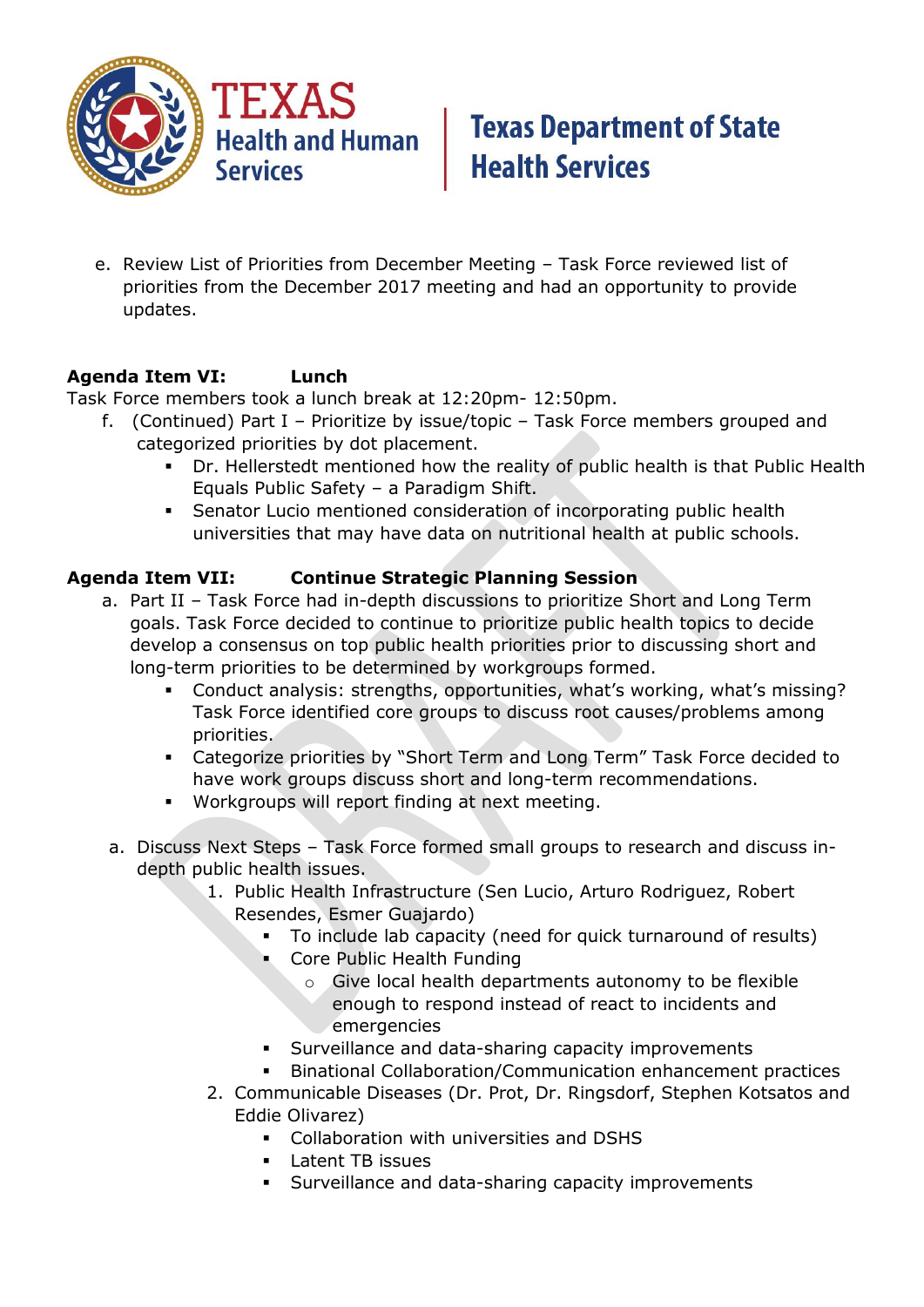

# **Texas Department of State Health Services**

e. Review List of Priorities from December Meeting – Task Force reviewed list of priorities from the December 2017 meeting and had an opportunity to provide updates.

## **Agenda Item VI: Lunch**

Task Force members took a lunch break at 12:20pm- 12:50pm.

- f. (Continued) Part I Prioritize by issue/topic Task Force members grouped and categorized priorities by dot placement.
	- Dr. Hellerstedt mentioned how the reality of public health is that Public Health Equals Public Safety – a Paradigm Shift.
	- Senator Lucio mentioned consideration of incorporating public health universities that may have data on nutritional health at public schools.

## **Agenda Item VII: Continue Strategic Planning Session**

- a. Part II Task Force had in-depth discussions to prioritize Short and Long Term goals. Task Force decided to continue to prioritize public health topics to decide develop a consensus on top public health priorities prior to discussing short and long-term priorities to be determined by workgroups formed.
	- Conduct analysis: strengths, opportunities, what's working, what's missing? Task Force identified core groups to discuss root causes/problems among priorities.
	- Categorize priorities by "Short Term and Long Term" Task Force decided to have work groups discuss short and long-term recommendations.
	- Workgroups will report finding at next meeting.
- a. Discuss Next Steps Task Force formed small groups to research and discuss indepth public health issues.
	- 1. Public Health Infrastructure (Sen Lucio, Arturo Rodriguez, Robert Resendes, Esmer Guajardo)
		- To include lab capacity (need for quick turnaround of results)
		- **Core Public Health Funding** 
			- o Give local health departments autonomy to be flexible enough to respond instead of react to incidents and emergencies
		- Surveillance and data-sharing capacity improvements
		- Binational Collaboration/Communication enhancement practices
	- 2. Communicable Diseases (Dr. Prot, Dr. Ringsdorf, Stephen Kotsatos and Eddie Olivarez)
		- Collaboration with universities and DSHS
		- **Latent TB issues**
		- Surveillance and data-sharing capacity improvements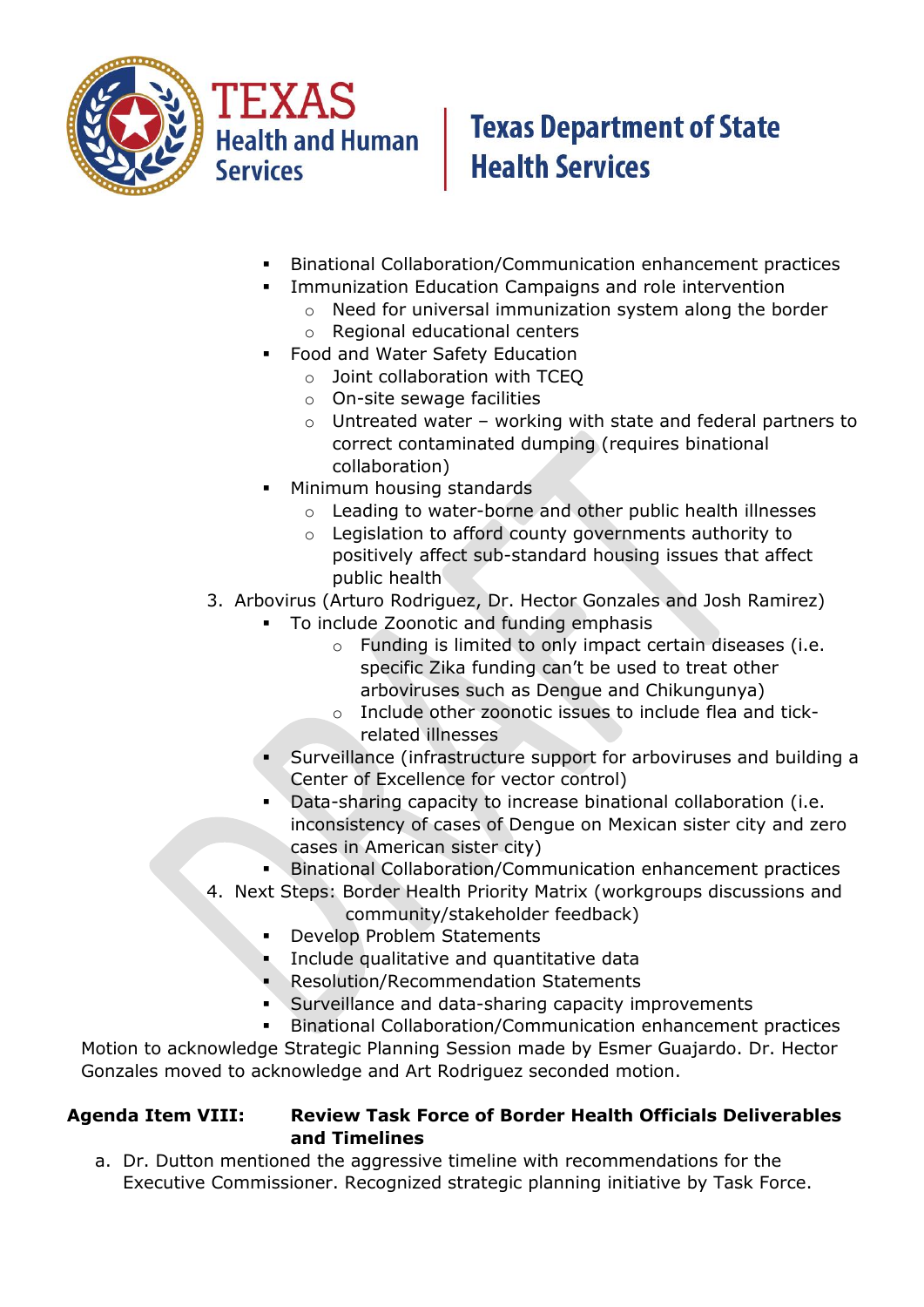

**Health and Human Services** 

# **Texas Department of State Health Services**

- Binational Collaboration/Communication enhancement practices
- **EXECT** Immunization Education Campaigns and role intervention
	- o Need for universal immunization system along the border
	- o Regional educational centers
- **Food and Water Safety Education** 
	- o Joint collaboration with TCEQ
	- o On-site sewage facilities
	- o Untreated water working with state and federal partners to correct contaminated dumping (requires binational collaboration)
- Minimum housing standards
	- o Leading to water-borne and other public health illnesses
	- o Legislation to afford county governments authority to positively affect sub-standard housing issues that affect public health
- 3. Arbovirus (Arturo Rodriguez, Dr. Hector Gonzales and Josh Ramirez)
	- To include Zoonotic and funding emphasis
		- o Funding is limited to only impact certain diseases (i.e. specific Zika funding can't be used to treat other arboviruses such as Dengue and Chikungunya)
		- o Include other zoonotic issues to include flea and tickrelated illnesses
	- Surveillance (infrastructure support for arboviruses and building a Center of Excellence for vector control)
	- Data-sharing capacity to increase binational collaboration (i.e. inconsistency of cases of Dengue on Mexican sister city and zero cases in American sister city)
	- Binational Collaboration/Communication enhancement practices
- 4. Next Steps: Border Health Priority Matrix (workgroups discussions and
	- community/stakeholder feedback)
	- **Develop Problem Statements**
	- **Include qualitative and quantitative data**
	- **Resolution/Recommendation Statements**
	- **Surveillance and data-sharing capacity improvements**
	- Binational Collaboration/Communication enhancement practices

Motion to acknowledge Strategic Planning Session made by Esmer Guajardo. Dr. Hector Gonzales moved to acknowledge and Art Rodriguez seconded motion.

## **Agenda Item VIII: Review Task Force of Border Health Officials Deliverables and Timelines**

a. Dr. Dutton mentioned the aggressive timeline with recommendations for the Executive Commissioner. Recognized strategic planning initiative by Task Force.